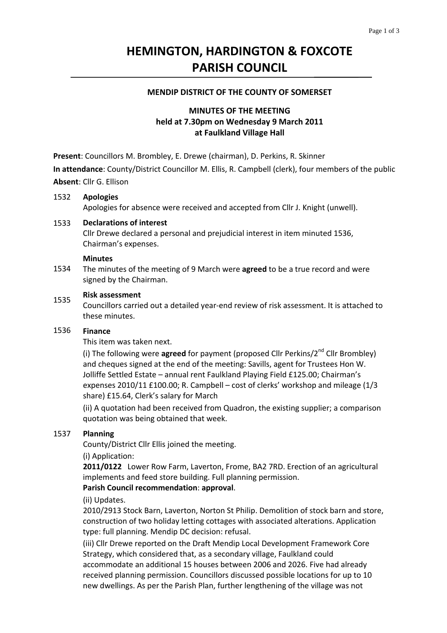# **HEMINGTON, HARDINGTON & FOXCOTE PARISH COUNCIL**

### **MENDIP DISTRICT OF THE COUNTY OF SOMERSET**

# **MINUTES OF THE MEETING held at 7.30pm on Wednesday 9 March 2011 at Faulkland Village Hall**

**Present**: Councillors M. Brombley, E. Drewe (chairman), D. Perkins, R. Skinner

**In attendance**: County/District Councillor M. Ellis, R. Campbell (clerk), four members of the public **Absent**: Cllr G. Ellison

#### 1532 **Apologies**

Apologies for absence were received and accepted from Cllr J. Knight (unwell).

#### 1533 **Declarations of interest**

Cllr Drewe declared a personal and prejudicial interest in item minuted 1536, Chairman's expenses.

### **Minutes**

1534 The minutes of the meeting of 9 March were **agreed** to be a true record and were signed by the Chairman.

### 1535 **Risk assessment**

Councillors carried out a detailed year‐end review of risk assessment. It is attached to these minutes.

#### 1536 **Finance**

This item was taken next.

(i) The following were **agreed** for payment (proposed Cllr Perkins/2nd Cllr Brombley) and cheques signed at the end of the meeting: Savills, agent for Trustees Hon W. Jolliffe Settled Estate – annual rent Faulkland Playing Field £125.00; Chairman's expenses 2010/11 £100.00; R. Campbell – cost of clerks' workshop and mileage (1/3 share) £15.64, Clerk's salary for March

(ii) A quotation had been received from Quadron, the existing supplier; a comparison quotation was being obtained that week.

### 1537 **Planning**

County/District Cllr Ellis joined the meeting.

(i) Application:

**2011/0122**  Lower Row Farm, Laverton, Frome, BA2 7RD. Erection of an agricultural implements and feed store building. Full planning permission.

### **Parish Council recommendation**: **approval**.

### (ii) Updates.

2010/2913 Stock Barn, Laverton, Norton St Philip. Demolition of stock barn and store, construction of two holiday letting cottages with associated alterations. Application type: full planning. Mendip DC decision: refusal.

(iii) Cllr Drewe reported on the Draft Mendip Local Development Framework Core Strategy, which considered that, as a secondary village, Faulkland could accommodate an additional 15 houses between 2006 and 2026. Five had already received planning permission. Councillors discussed possible locations for up to 10 new dwellings. As per the Parish Plan, further lengthening of the village was not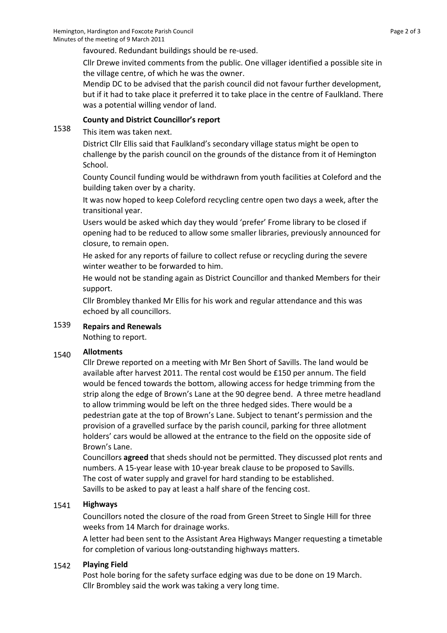favoured. Redundant buildings should be re‐used.

Cllr Drewe invited comments from the public. One villager identified a possible site in the village centre, of which he was the owner.

Mendip DC to be advised that the parish council did not favour further development, but if it had to take place it preferred it to take place in the centre of Faulkland. There was a potential willing vendor of land.

### **County and District Councillor's report**

1538 This item was taken next.

> District Cllr Ellis said that Faulkland's secondary village status might be open to challenge by the parish council on the grounds of the distance from it of Hemington School.

County Council funding would be withdrawn from youth facilities at Coleford and the building taken over by a charity.

It was now hoped to keep Coleford recycling centre open two days a week, after the transitional year.

Users would be asked which day they would 'prefer' Frome library to be closed if opening had to be reduced to allow some smaller libraries, previously announced for closure, to remain open.

He asked for any reports of failure to collect refuse or recycling during the severe winter weather to be forwarded to him.

He would not be standing again as District Councillor and thanked Members for their support.

Cllr Brombley thanked Mr Ellis for his work and regular attendance and this was echoed by all councillors.

### 1539 **Repairs and Renewals**

Nothing to report.

### 1540 **Allotments**

Cllr Drewe reported on a meeting with Mr Ben Short of Savills. The land would be available after harvest 2011. The rental cost would be £150 per annum. The field would be fenced towards the bottom, allowing access for hedge trimming from the strip along the edge of Brown's Lane at the 90 degree bend. A three metre headland to allow trimming would be left on the three hedged sides. There would be a pedestrian gate at the top of Brown's Lane. Subject to tenant's permission and the provision of a gravelled surface by the parish council, parking for three allotment holders' cars would be allowed at the entrance to the field on the opposite side of Brown's Lane.

Councillors **agreed** that sheds should not be permitted. They discussed plot rents and numbers. A 15‐year lease with 10‐year break clause to be proposed to Savills. The cost of water supply and gravel for hard standing to be established. Savills to be asked to pay at least a half share of the fencing cost.

### 1541 **Highways**

Councillors noted the closure of the road from Green Street to Single Hill for three weeks from 14 March for drainage works.

A letter had been sent to the Assistant Area Highways Manger requesting a timetable for completion of various long‐outstanding highways matters.

#### 1542 **Playing Field**

Post hole boring for the safety surface edging was due to be done on 19 March. Cllr Brombley said the work was taking a very long time.